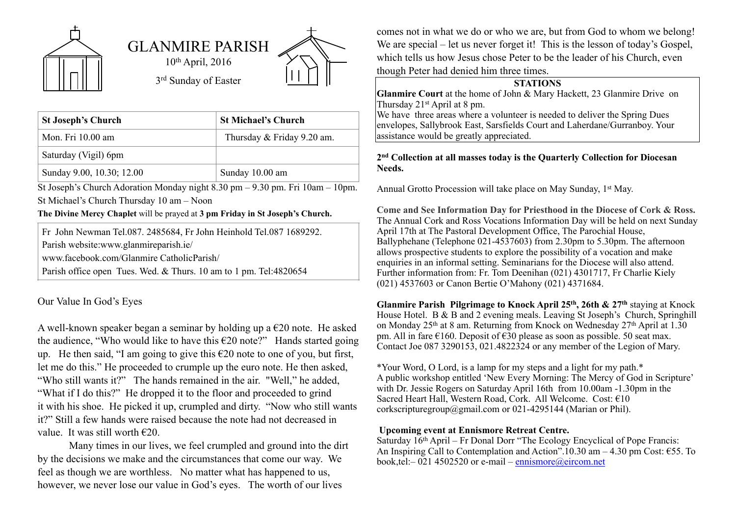

| <b>St Joseph's Church</b> | <b>St Michael's Church</b> |
|---------------------------|----------------------------|
| Mon. Fri 10.00 am         | Thursday & Friday 9.20 am. |
| Saturday (Vigil) 6pm      |                            |
| Sunday 9.00, 10.30; 12.00 | Sunday 10.00 am            |

St Joseph's Church Adoration Monday night 8.30 pm – 9.30 pm. Fri 10am – 10pm. St Michael's Church Thursday 10 am – Noon

## **The Divine Mercy Chaplet** will be prayed at **3 pm Friday in St Joseph's Church.**

Fr John Newman Tel.087. 2485684, Fr John Heinhold Tel.087 1689292. Parish website:www.glanmireparish.ie/

www.facebook.com/Glanmire CatholicParish/

Parish office open Tues. Wed. & Thurs. 10 am to 1 pm. Tel:4820654

Our Value In God's Eyes

A well-known speaker began a seminar by holding up a  $\epsilon$ 20 note. He asked the audience, "Who would like to have this  $\epsilon$ 20 note?" Hands started going up. He then said, "I am going to give this  $\epsilon$ 20 note to one of you, but first, let me do this." He proceeded to crumple up the euro note. He then asked, "Who still wants it?" The hands remained in the air. "Well," he added, "What if I do this?" He dropped it to the floor and proceeded to grind it with his shoe. He picked it up, crumpled and dirty. "Now who still wants it?" Still a few hands were raised because the note had not decreased in value. It was still worth  $\epsilon$ 20.

Many times in our lives, we feel crumpled and ground into the dirt by the decisions we make and the circumstances that come our way. We feel as though we are worthless. No matter what has happened to us, however, we never lose our value in God's eyes. The worth of our lives

comes not in what we do or who we are, but from God to whom we belong! We are special – let us never forget it! This is the lesson of today's Gospel, which tells us how Jesus chose Peter to be the leader of his Church, even though Peter had denied him three times.

## **STATIONS**

**Glanmire Court** at the home of John & Mary Hackett, 23 Glanmire Drive on Thursday 21st April at 8 pm.

We have three areas where a volunteer is needed to deliver the Spring Dues envelopes, Sallybrook East, Sarsfields Court and Laherdane/Gurranboy. Your assistance would be greatly appreciated.

## **2nd Collection at all masses today is the Quarterly Collection for Diocesan Needs.**

Annual Grotto Procession will take place on May Sunday, 1<sup>st</sup> May.

**Come and See Information Day for Priesthood in the Diocese of Cork & Ross.**  The Annual Cork and Ross Vocations Information Day will be held on next Sunday April 17th at The Pastoral Development Office, The Parochial House, Ballyphehane (Telephone 021-4537603) from 2.30pm to 5.30pm. The afternoon allows prospective students to explore the possibility of a vocation and make enquiries in an informal setting. Seminarians for the Diocese will also attend. Further information from: Fr. Tom Deenihan (021) 4301717, Fr Charlie Kiely (021) 4537603 or Canon Bertie O'Mahony (021) 4371684.

**Glanmire Parish Pilgrimage to Knock April 25th, 26th & 27th** staying at Knock House Hotel. B & B and 2 evening meals. Leaving St Joseph's Church, Springhill on Monday 25<sup>th</sup> at 8 am. Returning from Knock on Wednesday 27<sup>th</sup> April at 1.30 pm. All in fare €160. Deposit of €30 please as soon as possible. 50 seat max. Contact Joe 087 3290153, 021.4822324 or any member of the Legion of Mary.

\*Your Word, O Lord, is a lamp for my steps and a light for my path.\* A public workshop entitled 'New Every Morning: The Mercy of God in Scripture' with Dr. Jessie Rogers on Saturday April 16th from 10.00am -1.30pm in the Sacred Heart Hall, Western Road, Cork. All Welcome. Cost: €10 corkscripturegroup@gmail.com or 021-4295144 (Marian or Phil).

## **Upcoming event at Ennismore Retreat Centre.**

Saturday 16th April – Fr Donal Dorr "The Ecology Encyclical of Pope Francis: An Inspiring Call to Contemplation and Action".10.30 am – 4.30 pm Cost:  $\epsilon$ 55. To book,tel: $-$ 021 4502520 or e-mail – [ennismore@eircom.net](mailto:ennismore@eircom.net)